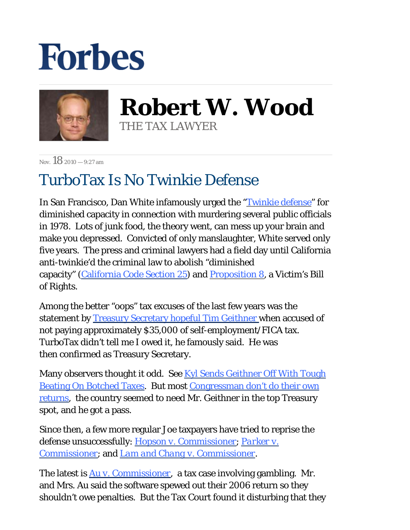## **Forbes**



**Robert W. Wood** THE TAX LAWYER

Nov.  $182010 - 9.27$  am

## TurboTax Is No Twinkie Defense

In San Francisco, Dan White infamously urged the ["Twinkie defense](http://www.trutv.com/library/crime/criminal_mind/psychology/insanity/7.html)" for diminished capacity in connection with murdering several public officials in 1978. Lots of junk food, the theory went, can mess up your brain and make you depressed. Convicted of only manslaughter, White served only five years. The press and criminal lawyers had a field day until California anti-twinkie'd the criminal law to abolish "diminished capacity" ([California Code Section 25\)](http://codes.lp.findlaw.com/cacode/PEN/3/1/1/s25) and [Proposition 8,](http://ag.ca.gov/victimservices/overview.php) a Victim's Bill of Rights.

Among the better "oops" tax excuses of the last few ye[ar](http://www.youtube.com/watch?v=eKVxGlkPRlo&feature=player_embedded#)s was the statement by [Treasury Secretary hopeful Tim Geithner](http://www.youtube.com/watch?v=eKVxGlkPRlo&feature=player_embedded#) when accused of not paying approximately \$35,000 of self-employment/FICA tax. TurboTax didn't tell me I owed it, he famously said. He was then confirmed as Treasury Secretary.

Many observers thought it odd. See Kyl Sends Geithner Off With Tough [Beating On Botched Taxes.](http://voices.washingtonpost.com/economy-watch/2009/01/grassley_bank_nationalization.html) But most [Congressman don't do their own](http://thehill.com/homenews/house/92377-few-members-file-own-returns)  [returns,](http://thehill.com/homenews/house/92377-few-members-file-own-returns) the country seemed to need Mr. Geithner in the top Treasury spot, and he got a pass.

Since then, a few more regular Joe taxpayers have tried to reprise the defense unsuccessfully: *[Hopson v. Commissioner](http://www.ustaxcourt.gov/InOpHistoric/HopsonKenneth&Linda.SUM.WPD.pdf)*; *[Parker v.](http://www.ustaxcourt.gov/InOpHistoric/3parker.SUM.WPD.pdf)  [Commissioner](http://www.ustaxcourt.gov/InOpHistoric/3parker.SUM.WPD.pdf)*; and *[Lam and Chang v. Commissioner](http://www.ustaxcourt.gov/InOpHistoric/LAM2.TCM.WPD.pdf)*.

The latest is *[Au v. Commissioner](http://www.ustaxcourt.gov/InOpHistoric/AU.TCM.WPD.pdf)*, a tax case involving gambling. Mr. and Mrs. Au said the software spewed out their 2006 return so they shouldn't owe penalties. But the Tax Court found it disturbing that they